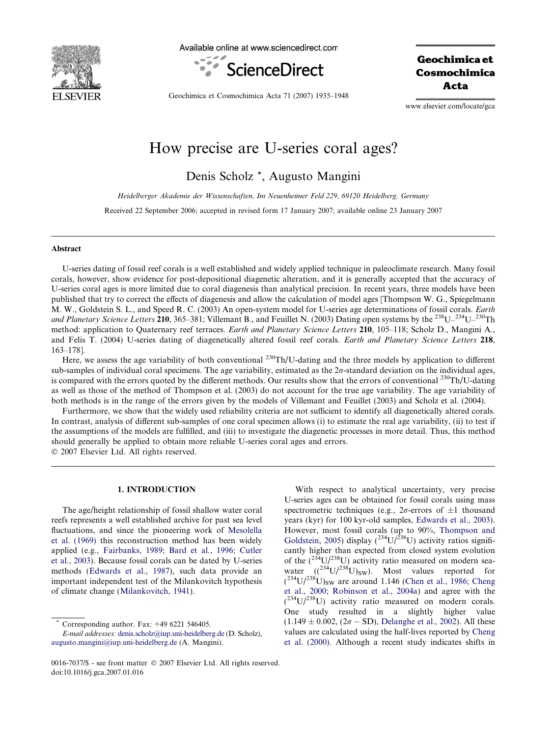<span id="page-0-0"></span>

Available online at www.sciencedirect.com



Geochimica et Cosmochimica Acta

Geochimica et Cosmochimica Acta 71 (2007) 1935–1948

www.elsevier.com/locate/gca

# How precise are U-series coral ages?

Denis Scholz \*, Augusto Mangini

Heidelberger Akademie der Wissenschaften, Im Neuenheimer Feld 229, 69120 Heidelberg, Germany

Received 22 September 2006; accepted in revised form 17 January 2007; available online 23 January 2007

## Abstract

U-series dating of fossil reef corals is a well established and widely applied technique in paleoclimate research. Many fossil corals, however, show evidence for post-depositional diagenetic alteration, and it is generally accepted that the accuracy of U-series coral ages is more limited due to coral diagenesis than analytical precision. In recent years, three models have been published that try to correct the effects of diagenesis and allow the calculation of model ages [Thompson W. G., Spiegelmann M. W., Goldstein S. L., and Speed R. C. (2003) An open-system model for U-series age determinations of fossil corals. Earth and Planetary Science Letters 210, 365–381; Villemant B., and Feuillet N. (2003) Dating open systems by the <sup>238</sup>U<sup>-234</sup>U<sup>-230</sup>Th method: application to Quaternary reef terraces. Earth and Planetary Science Letters 210, 105–118; Scholz D., Mangini A., and Felis T. (2004) U-series dating of diagenetically altered fossil reef corals. Earth and Planetary Science Letters 218, 163–178].

Here, we assess the age variability of both conventional <sup>230</sup>Th/U-dating and the three models by application to different sub-samples of individual coral specimens. The age variability, estimated as the 2*σ*-standard deviation on the individual ages, is compared with the errors quoted by the different methods. Our results show that the errors of conventional  $^{230}Th/U$ -dating as well as those of the method of Thompson et al. (2003) do not account for the true age variability. The age variability of both methods is in the range of the errors given by the models of Villemant and Feuillet (2003) and Scholz et al. (2004).

Furthermore, we show that the widely used reliability criteria are not sufficient to identify all diagenetically altered corals. In contrast, analysis of different sub-samples of one coral specimen allows (i) to estimate the real age variability, (ii) to test if the assumptions of the models are fulfilled, and (iii) to investigate the diagenetic processes in more detail. Thus, this method should generally be applied to obtain more reliable U-series coral ages and errors. - 2007 Elsevier Ltd. All rights reserved.

1. INTRODUCTION

The age/height relationship of fossil shallow water coral reefs represents a well established archive for past sea level fluctuations, and since the pioneering work of [Mesolella](#page-12-0) [et al. \(1969\)](#page-12-0) this reconstruction method has been widely applied (e.g., [Fairbanks, 1989; Bard et al., 1996; Cutler](#page-12-0) [et al., 2003\)](#page-12-0). Because fossil corals can be dated by U-series methods [\(Edwards et al., 1987\)](#page-12-0), such data provide an important independent test of the Milankovitch hypothesis of climate change [\(Milankovitch, 1941\)](#page-12-0).

With respect to analytical uncertainty, very precise U-series ages can be obtained for fossil corals using mass spectrometric techniques (e.g.,  $2\sigma$ -errors of  $\pm 1$  thousand years (kyr) for 100 kyr-old samples, [Edwards et al., 2003](#page-12-0)). However, most fossil corals (up to 90%, [Thompson and](#page-13-0) [Goldstein, 2005](#page-13-0)) display  $({}^{234}U/{}^{238}U)$  activity ratios significantly higher than expected from closed system evolution of the  $(^{234}U/^{238}U)$  activity ratio measured on modern seawater  $((234 \text{U}/238 \text{U})_{\text{SW}})$ . Most values reported for  $(^{234}U/^{238}U)_{SW}$  are around 1.146 ([Chen et al., 1986; Cheng](#page-12-0) [et al., 2000; Robinson et al., 2004a\)](#page-12-0) and agree with the  $(^{234}U/^{238}U)$  activity ratio measured on modern corals. One study resulted in a slightly higher value  $(1.149 \pm 0.002, (2\sigma - SD),$  [Delanghe et al., 2002\)](#page-12-0). All these values are calculated using the half-lives reported by [Cheng](#page-12-0) [et al. \(2000\)](#page-12-0). Although a recent study indicates shifts in

Corresponding author. Fax: +49 6221 546405.

E-mail addresses: [denis.scholz@iup.uni-heidelberg.de](mailto:denis.scholz@iup.uni-heidelberg.de) (D. Scholz), [augusto.mangini@iup.uni-heidelberg.de](mailto:augusto.mangini@iup.uni-heidelberg.de) (A. Mangini).

<sup>0016-7037/\$ -</sup> see front matter © 2007 Elsevier Ltd. All rights reserved. doi:10.1016/j.gca.2007.01.016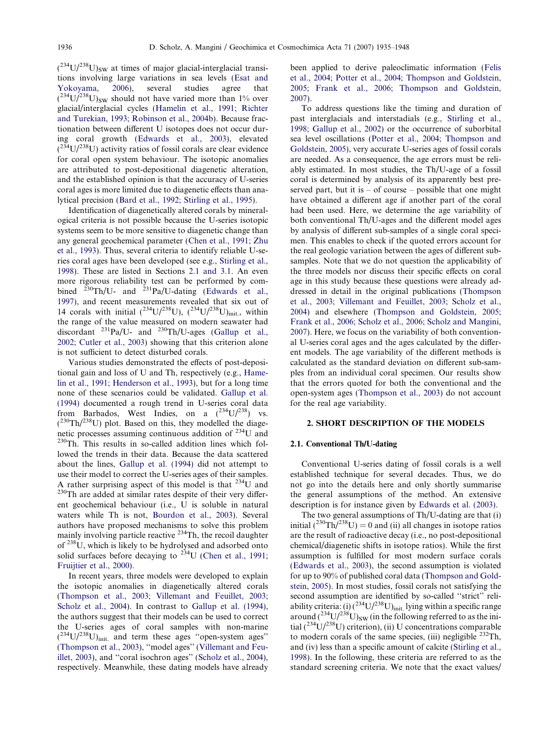<span id="page-1-0"></span> $(^{234}U/^{238}U)_{\text{SW}}$  at times of major glacial-interglacial transitions involving large variations in sea levels [\(Esat and](#page-12-0) [Yokoyama, 2006\)](#page-12-0), several studies agree that  $(234U/238U)_{SW}$  should not have varied more than 1% over glacial/interglacial cycles ([Hamelin et al., 1991; Richter](#page-12-0) [and Turekian, 1993; Robinson et al., 2004b\)](#page-12-0). Because fractionation between different U isotopes does not occur during coral growth [\(Edwards et al., 2003](#page-12-0)), elevated  $(^{234}U/^{238}U)$  activity ratios of fossil corals are clear evidence for coral open system behaviour. The isotopic anomalies are attributed to post-depositional diagenetic alteration, and the established opinion is that the accuracy of U-series coral ages is more limited due to diagenetic effects than analytical precision [\(Bard et al., 1992; Stirling et al., 1995\)](#page-12-0).

Identification of diagenetically altered corals by mineralogical criteria is not possible because the U-series isotopic systems seem to be more sensitive to diagenetic change than any general geochemical parameter ([Chen et al., 1991; Zhu](#page-12-0) [et al., 1993\)](#page-12-0). Thus, several criteria to identify reliable U-series coral ages have been developed (see e.g., [Stirling et al.,](#page-13-0) [1998\)](#page-13-0). These are listed in Sections 2.1 and 3.1. An even more rigorous reliability test can be performed by combined  $^{230}$ Th/U- and  $^{231}$ Pa/U-dating ([Edwards et al.,](#page-12-0) [1997\)](#page-12-0), and recent measurements revealed that six out of 14 corals with initial  $({}^{234}U/{}^{238}U)$ ,  $({}^{234}U/{}^{238}U)_{init}$ , within the range of the value measured on modern seawater had discordant  $^{231}Pa/U$ - and  $^{230}Th/U$ -ages ([Gallup et al.,](#page-12-0) [2002; Cutler et al., 2003\)](#page-12-0) showing that this criterion alone is not sufficient to detect disturbed corals.

Various studies demonstrated the effects of post-depositional gain and loss of U and Th, respectively (e.g., [Hame](#page-12-0)[lin et al., 1991; Henderson et al., 1993\)](#page-12-0), but for a long time none of these scenarios could be validated. [Gallup et al.](#page-12-0) [\(1994\)](#page-12-0) documented a rough trend in U-series coral data from Barbados, West Indies, on a  $(^{234}U/^{238})$  vs.  $(^{230}Th/^{238}U)$  plot. Based on this, they modelled the diagenetic processes assuming continuous addition of  $^{234}$ U and  $^{230}$ Th. This results in so-called addition lines which followed the trends in their data. Because the data scattered about the lines, [Gallup et al. \(1994\)](#page-12-0) did not attempt to use their model to correct the U-series ages of their samples. A rather surprising aspect of this model is that  $^{234}$ U and  $^{230}$ Th are added at similar rates despite of their very different geochemical behaviour (i.e., U is soluble in natural waters while Th is not, [Bourdon et al., 2003\)](#page-12-0). Several authors have proposed mechanisms to solve this problem mainly involving particle reactive  $234$ Th, the recoil daughter of <sup>238</sup>U, which is likely to be hydrolysed and adsorbed onto solid surfaces before decaying to  $^{234}$ U ([Chen et al., 1991;](#page-12-0) [Fruijtier et al., 2000](#page-12-0)).

In recent years, three models were developed to explain the isotopic anomalies in diagenetically altered corals ([Thompson et al., 2003; Villemant and Feuillet, 2003;](#page-13-0) [Scholz et al., 2004\)](#page-13-0). In contrast to [Gallup et al. \(1994\),](#page-12-0) the authors suggest that their models can be used to correct the U-series ages of coral samples with non-marine  $(^{234}U/^{238}U)_{\text{init.}}$  and term these ages "open-system ages" ([Thompson et al., 2003\)](#page-13-0), ''model ages'' ([Villemant and Feu](#page-13-0)[illet, 2003](#page-13-0)), and ''coral isochron ages'' ([Scholz et al., 2004\)](#page-13-0), respectively. Meanwhile, these dating models have already

been applied to derive paleoclimatic information ([Felis](#page-12-0) [et al., 2004; Potter et al., 2004; Thompson and Goldstein,](#page-12-0) [2005; Frank et al., 2006; Thompson and Goldstein,](#page-12-0) [2007\)](#page-12-0).

To address questions like the timing and duration of past interglacials and interstadials (e.g., [Stirling et al.,](#page-13-0) [1998; Gallup et al., 2002\)](#page-13-0) or the occurrence of suborbital sea level oscillations [\(Potter et al., 2004; Thompson and](#page-12-0) [Goldstein, 2005\)](#page-12-0), very accurate U-series ages of fossil corals are needed. As a consequence, the age errors must be reliably estimated. In most studies, the Th/U-age of a fossil coral is determined by analysis of its apparently best preserved part, but it is  $-$  of course  $-$  possible that one might have obtained a different age if another part of the coral had been used. Here, we determine the age variability of both conventional Th/U-ages and the different model ages by analysis of different sub-samples of a single coral specimen. This enables to check if the quoted errors account for the real geologic variation between the ages of different subsamples. Note that we do not question the applicability of the three models nor discuss their specific effects on coral age in this study because these questions were already addressed in detail in the original publications [\(Thompson](#page-13-0) [et al., 2003; Villemant and Feuillet, 2003; Scholz et al.,](#page-13-0) [2004\)](#page-13-0) and elsewhere ([Thompson and Goldstein, 2005;](#page-13-0) [Frank et al., 2006; Scholz et al., 2006; Scholz and Mangini,](#page-13-0) [2007\)](#page-13-0). Here, we focus on the variability of both conventional U-series coral ages and the ages calculated by the different models. The age variability of the different methods is calculated as the standard deviation on different sub-samples from an individual coral specimen. Our results show that the errors quoted for both the conventional and the open-system ages [\(Thompson et al., 2003](#page-13-0)) do not account for the real age variability.

## 2. SHORT DESCRIPTION OF THE MODELS

## 2.1. Conventional Th/U-dating

Conventional U-series dating of fossil corals is a well established technique for several decades. Thus, we do not go into the details here and only shortly summarise the general assumptions of the method. An extensive description is for instance given by [Edwards et al. \(2003\)](#page-12-0).

The two general assumptions of Th/U-dating are that (i) initial  $(^{230}\text{Th}/^{238}\text{U}) = 0$  and (ii) all changes in isotope ratios are the result of radioactive decay (i.e., no post-depositional chemical/diagenetic shifts in isotope ratios). While the first assumption is fulfilled for most modern surface corals ([Edwards et al., 2003](#page-12-0)), the second assumption is violated for up to 90% of published coral data ([Thompson and Gold](#page-13-0)[stein, 2005\)](#page-13-0). In most studies, fossil corals not satisfying the second assumption are identified by so-called ''strict'' reliability criteria: (i)  $(^{234}U/^{238}U)_{init}$  lying within a specific range around  $(^{234}U/^{238}U)_{SW}$  (in the following referred to as the initial  $(^{234}U/^{238}U)$  criterion), (ii) U concentrations comparable to modern corals of the same species, (iii) negligible <sup>232</sup>Th, and (iv) less than a specific amount of calcite ([Stirling et al.,](#page-13-0) [1998\)](#page-13-0). In the following, these criteria are referred to as the standard screening criteria. We note that the exact values/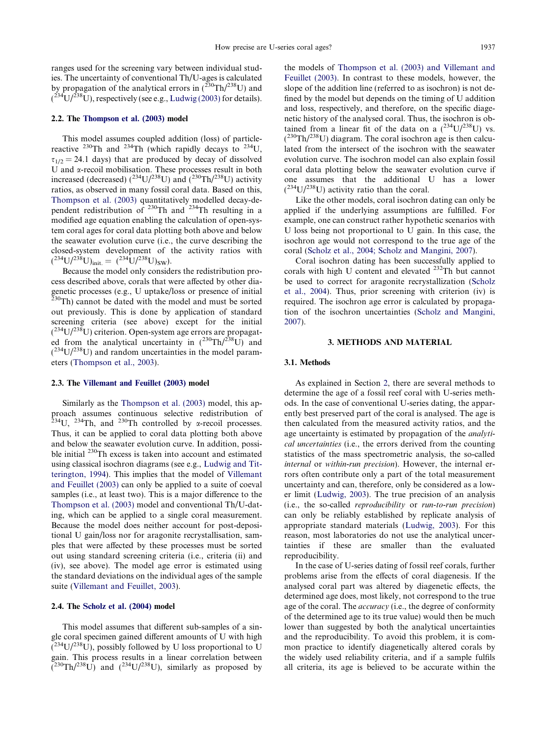<span id="page-2-0"></span>ranges used for the screening vary between individual studies. The uncertainty of conventional Th/U-ages is calculated by propagation of the analytical errors in  $(230 \text{Th}/^{238} \text{U})$  and  $(2^{34}U/2^{38}U)$ , respectively (see e.g., [Ludwig \(2003\)](#page-12-0) for details).

## 2.2. The [Thompson et al. \(2003\)](#page-13-0) model

This model assumes coupled addition (loss) of particlereactive <sup>230</sup>Th and <sup>234</sup>Th (which rapidly decays to <sup>234</sup>U,  $\tau_{1/2} = 24.1$  days) that are produced by decay of dissolved U and  $\alpha$ -recoil mobilisation. These processes result in both increased (decreased)  $(^{234}U/^{238}U)$  and  $(^{230}Th/^{238}U)$  activity ratios, as observed in many fossil coral data. Based on this, [Thompson et al. \(2003\)](#page-13-0) quantitatively modelled decay-dependent redistribution of  $230$ Th and  $234$ Th resulting in a modified age equation enabling the calculation of open-system coral ages for coral data plotting both above and below the seawater evolution curve (i.e., the curve describing the closed-system development of the activity ratios with  $(^{234}U/^{238}U)_{\text{init.}} = (^{234}U/^{238}U)_{\text{SW}}.$ 

Because the model only considers the redistribution process described above, corals that were affected by other diagenetic processes (e.g., U uptake/loss or presence of initial  $^{230}$ Th) cannot be dated with the model and must be sorted out previously. This is done by application of standard screening criteria (see above) except for the initial  $(^{234}U/^{238}U)$  criterion. Open-system age errors are propagated from the analytical uncertainty in  $(^{230}Th/^{238}U)$  and  $(^{234}U/^{238}U)$  and random uncertainties in the model parameters [\(Thompson et al., 2003](#page-13-0)).

#### 2.3. The [Villemant and Feuillet \(2003\)](#page-13-0) model

Similarly as the [Thompson et al. \(2003\)](#page-13-0) model, this approach assumes continuous selective redistribution of <sup>234</sup>U, <sup>234</sup>Th, and <sup>230</sup>Th controlled by  $\alpha$ -recoil processes. Thus, it can be applied to coral data plotting both above and below the seawater evolution curve. In addition, possible initial <sup>230</sup>Th excess is taken into account and estimated using classical isochron diagrams (see e.g., [Ludwig and Tit](#page-12-0)[terington, 1994](#page-12-0)). This implies that the model of [Villemant](#page-13-0) [and Feuillet \(2003\)](#page-13-0) can only be applied to a suite of coeval samples (i.e., at least two). This is a major difference to the [Thompson et al. \(2003\)](#page-13-0) model and conventional Th/U-dating, which can be applied to a single coral measurement. Because the model does neither account for post-depositional U gain/loss nor for aragonite recrystallisation, samples that were affected by these processes must be sorted out using standard screening criteria (i.e., criteria (ii) and (iv), see above). The model age error is estimated using the standard deviations on the individual ages of the sample suite [\(Villemant and Feuillet, 2003](#page-13-0)).

## 2.4. The [Scholz et al. \(2004\)](#page-13-0) model

This model assumes that different sub-samples of a single coral specimen gained different amounts of U with high  $\overline{C}^{234}U/^{238}U$ , possibly followed by U loss proportional to U gain. This process results in a linear correlation between  $(2^{30} \text{Th}/^{238} \text{U})$  and  $(2^{34} \text{U}/^{238} \text{U})$ , similarly as proposed by

the models of [Thompson et al. \(2003\) and Villemant and](#page-13-0) [Feuillet \(2003\).](#page-13-0) In contrast to these models, however, the slope of the addition line (referred to as isochron) is not defined by the model but depends on the timing of U addition and loss, respectively, and therefore, on the specific diagenetic history of the analysed coral. Thus, the isochron is obtained from a linear fit of the data on a  $(^{234}U/^{238}U)$  vs.  $(^{230}Th/^{238}U)$  diagram. The coral isochron age is then calculated from the intersect of the isochron with the seawater evolution curve. The isochron model can also explain fossil coral data plotting below the seawater evolution curve if one assumes that the additional U has a lower  $(^{234}U/^{238}U)$  activity ratio than the coral.

Like the other models, coral isochron dating can only be applied if the underlying assumptions are fulfilled. For example, one can construct rather hypothetic scenarios with U loss being not proportional to U gain. In this case, the isochron age would not correspond to the true age of the coral ([Scholz et al., 2004; Scholz and Mangini, 2007](#page-13-0)).

Coral isochron dating has been successfully applied to corals with high U content and elevated <sup>232</sup>Th but cannot be used to correct for aragonite recrystallization [\(Scholz](#page-13-0) [et al., 2004\)](#page-13-0). Thus, prior screening with criterion (iv) is required. The isochron age error is calculated by propagation of the isochron uncertainties ([Scholz and Mangini,](#page-13-0) [2007](#page-13-0)).

#### 3. METHODS AND MATERIAL

### 3.1. Methods

As explained in Section [2,](#page-1-0) there are several methods to determine the age of a fossil reef coral with U-series methods. In the case of conventional U-series dating, the apparently best preserved part of the coral is analysed. The age is then calculated from the measured activity ratios, and the age uncertainty is estimated by propagation of the analytical uncertainties (i.e., the errors derived from the counting statistics of the mass spectrometric analysis, the so-called internal or within-run precision). However, the internal errors often contribute only a part of the total measurement uncertainty and can, therefore, only be considered as a lower limit [\(Ludwig, 2003\)](#page-12-0). The true precision of an analysis (i.e., the so-called reproducibility or run-to-run precision) can only be reliably established by replicate analysis of appropriate standard materials ([Ludwig, 2003\)](#page-12-0). For this reason, most laboratories do not use the analytical uncertainties if these are smaller than the evaluated reproducibility.

In the case of U-series dating of fossil reef corals, further problems arise from the effects of coral diagenesis. If the analysed coral part was altered by diagenetic effects, the determined age does, most likely, not correspond to the true age of the coral. The accuracy (i.e., the degree of conformity of the determined age to its true value) would then be much lower than suggested by both the analytical uncertainties and the reproducibility. To avoid this problem, it is common practice to identify diagenetically altered corals by the widely used reliability criteria, and if a sample fulfils all criteria, its age is believed to be accurate within the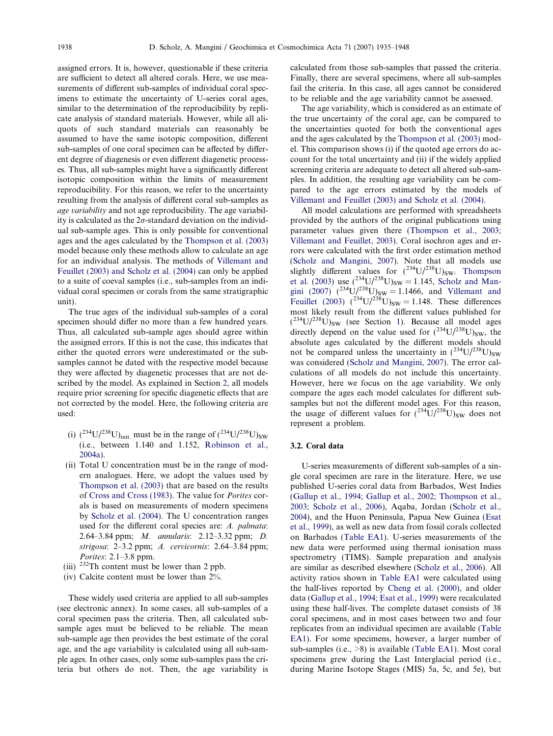assigned errors. It is, however, questionable if these criteria are sufficient to detect all altered corals. Here, we use measurements of different sub-samples of individual coral specimens to estimate the uncertainty of U-series coral ages, similar to the determination of the reproducibility by replicate analysis of standard materials. However, while all aliquots of such standard materials can reasonably be assumed to have the same isotopic composition, different sub-samples of one coral specimen can be affected by different degree of diagenesis or even different diagenetic processes. Thus, all sub-samples might have a significantly different isotopic composition within the limits of measurement reproducibility. For this reason, we refer to the uncertainty resulting from the analysis of different coral sub-samples as age variability and not age reproducibility. The age variability is calculated as the  $2\sigma$ -standard deviation on the individual sub-sample ages. This is only possible for conventional ages and the ages calculated by the [Thompson et al. \(2003\)](#page-13-0) model because only these methods allow to calculate an age for an individual analysis. The methods of [Villemant and](#page-13-0) [Feuillet \(2003\) and Scholz et al. \(2004\)](#page-13-0) can only be applied to a suite of coeval samples (i.e., sub-samples from an individual coral specimen or corals from the same stratigraphic unit).

The true ages of the individual sub-samples of a coral specimen should differ no more than a few hundred years. Thus, all calculated sub-sample ages should agree within the assigned errors. If this is not the case, this indicates that either the quoted errors were underestimated or the subsamples cannot be dated with the respective model because they were affected by diagenetic processes that are not described by the model. As explained in Section [2,](#page-1-0) all models require prior screening for specific diagenetic effects that are not corrected by the model. Here, the following criteria are used:

- (i)  $(^{234}U/^{238}U)_{init}$  must be in the range of  $(^{234}U/^{238}U)_{SW}$ (i.e., between 1.140 and 1.152, [Robinson et al.,](#page-12-0) [2004a](#page-12-0)).
- (ii) Total U concentration must be in the range of modern analogues. Here, we adopt the values used by [Thompson et al. \(2003\)](#page-13-0) that are based on the results of [Cross and Cross \(1983\)](#page-12-0). The value for Porites corals is based on measurements of modern specimens by [Scholz et al. \(2004\).](#page-13-0) The U concentration ranges used for the different coral species are: A. palmata: 2.64–3.84 ppm; M. annularis: 2.12–3.32 ppm; D. strigosa: 2–3.2 ppm; A. cervicornis: 2.64–3.84 ppm; Porites: 2.1–3.8 ppm.
- (iii)  $232$ Th content must be lower than 2 ppb.
- (iv) Calcite content must be lower than 2%.

These widely used criteria are applied to all sub-samples (see electronic annex). In some cases, all sub-samples of a coral specimen pass the criteria. Then, all calculated subsample ages must be believed to be reliable. The mean sub-sample age then provides the best estimate of the coral age, and the age variability is calculated using all sub-sample ages. In other cases, only some sub-samples pass the criteria but others do not. Then, the age variability is calculated from those sub-samples that passed the criteria. Finally, there are several specimens, where all sub-samples fail the criteria. In this case, all ages cannot be considered to be reliable and the age variability cannot be assessed.

The age variability, which is considered as an estimate of the true uncertainty of the coral age, can be compared to the uncertainties quoted for both the conventional ages and the ages calculated by the [Thompson et al. \(2003\)](#page-13-0) model. This comparison shows (i) if the quoted age errors do account for the total uncertainty and (ii) if the widely applied screening criteria are adequate to detect all altered sub-samples. In addition, the resulting age variability can be compared to the age errors estimated by the models of [Villemant and Feuillet \(2003\) and Scholz et al. \(2004\)](#page-13-0).

All model calculations are performed with spreadsheets provided by the authors of the original publications using parameter values given there ([Thompson et al., 2003;](#page-13-0) [Villemant and Feuillet, 2003](#page-13-0)). Coral isochron ages and errors were calculated with the first order estimation method ([Scholz and Mangini, 2007](#page-13-0)). Note that all models use slightly different values for  $(^{234}U/^{238}U)_{\text{SW}}$ . [Thompson](#page-13-0) [et al. \(2003\)](#page-13-0) use  $({}^{234}U/{}^{238}U)_{SW} = 1.145$ , [Scholz and Man](#page-13-0)[gini \(2007\)](#page-13-0)  $(^{234}U/^{238}U)_{SW} = 1.1466$ , and [Villemant and](#page-13-0) [Feuillet \(2003\)](#page-13-0)  $(^{234}U/^{238}U)_{SW} = 1.148$ . These differences most likely result from the different values published for  $(^{234}U/^{238}U)_{SW}$  (see Section [1\)](#page-0-0). Because all model ages directly depend on the value used for  $(^{234}U/^{238}U)_{SW}$ , the absolute ages calculated by the different models should not be compared unless the uncertainty in  $(^{234}U/^{238}U)_{SW}$ was considered ([Scholz and Mangini, 2007](#page-13-0)). The error calculations of all models do not include this uncertainty. However, here we focus on the age variability. We only compare the ages each model calculates for different subsamples but not the different model ages. For this reason, the usage of different values for  $(^{234}U/^{238}U)_{\text{SW}}$  does not represent a problem.

## 3.2. Coral data

U-series measurements of different sub-samples of a single coral specimen are rare in the literature. Here, we use published U-series coral data from Barbados, West Indies ([Gallup et al., 1994; Gallup et al., 2002; Thompson et al.,](#page-12-0) [2003; Scholz et al., 2006\)](#page-12-0), Aqaba, Jordan ([Scholz et al.,](#page-13-0) [2004\)](#page-13-0), and the Huon Peninsula, Papua New Guinea [\(Esat](#page-12-0) [et al., 1999](#page-12-0)), as well as new data from fossil corals collected on Barbados (Table EA1). U-series measurements of the new data were performed using thermal ionisation mass spectrometry (TIMS). Sample preparation and analysis are similar as described elsewhere [\(Scholz et al., 2006\)](#page-13-0). All activity ratios shown in Table EA1 were calculated using the half-lives reported by [Cheng et al. \(2000\)](#page-12-0), and older data ([Gallup et al., 1994; Esat et al., 1999](#page-12-0)) were recalculated using these half-lives. The complete dataset consists of 38 coral specimens, and in most cases between two and four replicates from an individual specimen are available (Table EA1). For some specimens, however, a larger number of sub-samples (i.e., >8) is available (Table EA1). Most coral specimens grew during the Last Interglacial period (i.e., during Marine Isotope Stages (MIS) 5a, 5c, and 5e), but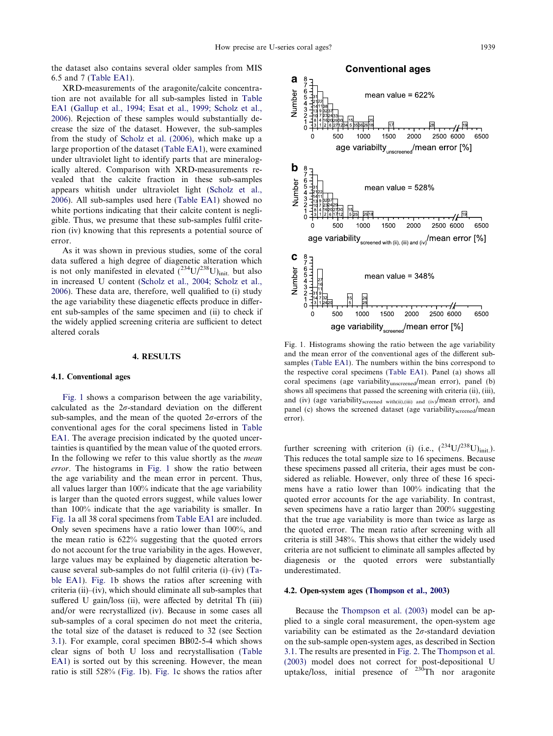**a**

 $\epsilon$ 

<span id="page-4-0"></span>the dataset also contains several older samples from MIS 6.5 and 7 (Table EA1).

XRD-measurements of the aragonite/calcite concentration are not available for all sub-samples listed in Table EA1 [\(Gallup et al., 1994; Esat et al., 1999; Scholz et al.,](#page-12-0) [2006](#page-12-0)). Rejection of these samples would substantially decrease the size of the dataset. However, the sub-samples from the study of [Scholz et al. \(2006\),](#page-13-0) which make up a large proportion of the dataset (Table EA1), were examined under ultraviolet light to identify parts that are mineralogically altered. Comparison with XRD-measurements revealed that the calcite fraction in these sub-samples appears whitish under ultraviolet light [\(Scholz et al.,](#page-13-0) [2006](#page-13-0)). All sub-samples used here (Table EA1) showed no white portions indicating that their calcite content is negligible. Thus, we presume that these sub-samples fulfil criterion (iv) knowing that this represents a potential source of error.

As it was shown in previous studies, some of the coral data suffered a high degree of diagenetic alteration which is not only manifested in elevated  $(234U)^{238}$ U)<sub>init.</sub> but also in increased U content [\(Scholz et al., 2004; Scholz et al.,](#page-13-0) [2006](#page-13-0)). These data are, therefore, well qualified to (i) study the age variability these diagenetic effects produce in different sub-samples of the same specimen and (ii) to check if the widely applied screening criteria are sufficient to detect altered corals

## 4. RESULTS

#### 4.1. Conventional ages

Fig. 1 shows a comparison between the age variability, calculated as the  $2\sigma$ -standard deviation on the different sub-samples, and the mean of the quoted  $2\sigma$ -errors of the conventional ages for the coral specimens listed in Table EA1. The average precision indicated by the quoted uncertainties is quantified by the mean value of the quoted errors. In the following we refer to this value shortly as the *mean* error. The histograms in Fig. 1 show the ratio between the age variability and the mean error in percent. Thus, all values larger than 100% indicate that the age variability is larger than the quoted errors suggest, while values lower than 100% indicate that the age variability is smaller. In Fig. 1a all 38 coral specimens from Table EA1 are included. Only seven specimens have a ratio lower than 100%, and the mean ratio is 622% suggesting that the quoted errors do not account for the true variability in the ages. However, large values may be explained by diagenetic alteration because several sub-samples do not fulfil criteria (i)–(iv) (Table EA1). Fig. 1b shows the ratios after screening with criteria (ii)–(iv), which should eliminate all sub-samples that suffered U gain/loss (ii), were affected by detrital Th (iii) and/or were recrystallized (iv). Because in some cases all sub-samples of a coral specimen do not meet the criteria, the total size of the dataset is reduced to 32 (see Section [3.1\)](#page-2-0). For example, coral specimen BB02-5-4 which shows clear signs of both U loss and recrystallisation (Table EA1) is sorted out by this screening. However, the mean ratio is still 528% (Fig. 1b). Fig. 1c shows the ratios after

Number mean value =  $622%$ 1000 1500 500 2000 2500 6000 6500 age variabilty unscreened / mean error [%] **b**  $\frac{6}{5}$ Number mean value =  $528%$  $\neg$ / $\neg$   $\neg$ 2618 500 1000 1500 2000 2500 6000 6500 age variability screened with (ii), (iii) and (iv) mean error [%] **c** š Number 65432 mean value =  $348%$ 500 1000 1500 2000 2500 6000 6500  $\overline{0}$ age variability<sub>screened</sub>/mean error [%]

**Conventional ages** 

Fig. 1. Histograms showing the ratio between the age variability and the mean error of the conventional ages of the different subsamples (Table EA1). The numbers within the bins correspond to the respective coral specimens (Table EA1). Panel (a) shows all coral specimens (age variabilityunscreened/mean error), panel (b) shows all specimens that passed the screening with criteria (ii), (iii), and (iv) (age variabilityscreened with(ii),(iii) and (iv)/mean error), and panel (c) shows the screened dataset (age variability  $s_{\text{screened}}/$  mean error).

further screening with criterion (i) (i.e.,  $(^{234}U/^{238}U)_{init}$ ). This reduces the total sample size to 16 specimens. Because these specimens passed all criteria, their ages must be considered as reliable. However, only three of these 16 specimens have a ratio lower than 100% indicating that the quoted error accounts for the age variability. In contrast, seven specimens have a ratio larger than 200% suggesting that the true age variability is more than twice as large as the quoted error. The mean ratio after screening with all criteria is still 348%. This shows that either the widely used criteria are not sufficient to eliminate all samples affected by diagenesis or the quoted errors were substantially underestimated.

## 4.2. Open-system ages ([Thompson et al., 2003](#page-13-0))

Because the [Thompson et al. \(2003\)](#page-13-0) model can be applied to a single coral measurement, the open-system age variability can be estimated as the  $2\sigma$ -standard deviation on the sub-sample open-system ages, as described in Section [3.1.](#page-2-0) The results are presented in [Fig. 2.](#page-5-0) The [Thompson et al.](#page-13-0) [\(2003\)](#page-13-0) model does not correct for post-depositional U uptake/loss, initial presence of  $230$ Th nor aragonite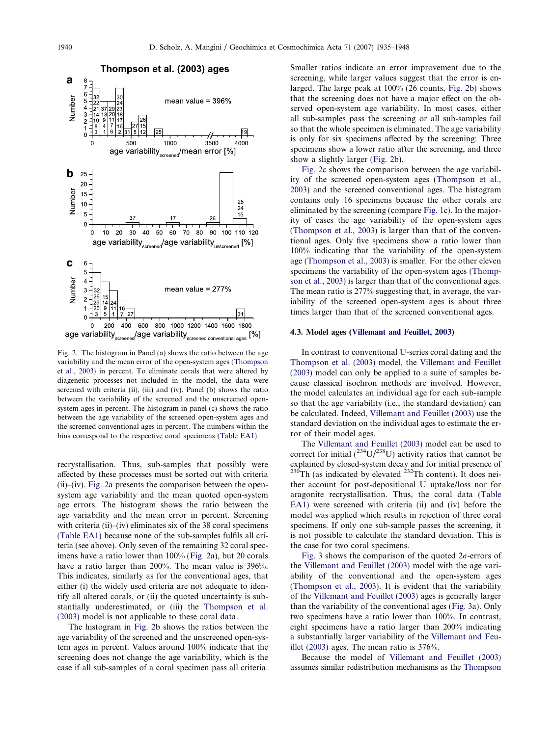<span id="page-5-0"></span>

Fig. 2. The histogram in Panel (a) shows the ratio between the age variability and the mean error of the open-system ages [\(Thompson](#page-13-0) [et al., 2003\)](#page-13-0) in percent. To eliminate corals that were altered by diagenetic processes not included in the model, the data were screened with criteria (ii), (iii) and (iv). Panel (b) shows the ratio between the variability of the screened and the unscreened opensystem ages in percent. The histogram in panel (c) shows the ratio between the age variability of the screened open-system ages and the screened conventional ages in percent. The numbers within the bins correspond to the respective coral specimens (Table EA1).

recrystallisation. Thus, sub-samples that possibly were affected by these processes must be sorted out with criteria  $(ii)$ – $(iv)$ . Fig. 2a presents the comparison between the opensystem age variability and the mean quoted open-system age errors. The histogram shows the ratio between the age variability and the mean error in percent. Screening with criteria (ii)–(iv) eliminates six of the 38 coral specimens (Table EA1) because none of the sub-samples fulfils all criteria (see above). Only seven of the remaining 32 coral specimens have a ratio lower than 100% (Fig. 2a), but 20 corals have a ratio larger than 200%. The mean value is 396%. This indicates, similarly as for the conventional ages, that either (i) the widely used criteria are not adequate to identify all altered corals, or (ii) the quoted uncertainty is sub-stantially underestimated, or (iii) the [Thompson et al.](#page-13-0) [\(2003\)](#page-13-0) model is not applicable to these coral data.

The histogram in Fig. 2b shows the ratios between the age variability of the screened and the unscreened open-system ages in percent. Values around 100% indicate that the screening does not change the age variability, which is the case if all sub-samples of a coral specimen pass all criteria.

Smaller ratios indicate an error improvement due to the screening, while larger values suggest that the error is enlarged. The large peak at 100% (26 counts, Fig. 2b) shows that the screening does not have a major effect on the observed open-system age variability. In most cases, either all sub-samples pass the screening or all sub-samples fail so that the whole specimen is eliminated. The age variability is only for six specimens affected by the screening: Three specimens show a lower ratio after the screening, and three show a slightly larger (Fig. 2b).

Fig. 2c shows the comparison between the age variability of the screened open-system ages [\(Thompson et al.,](#page-13-0) [2003\)](#page-13-0) and the screened conventional ages. The histogram contains only 16 specimens because the other corals are eliminated by the screening (compare [Fig. 1](#page-4-0)c). In the majority of cases the age variability of the open-system ages ([Thompson et al., 2003\)](#page-13-0) is larger than that of the conventional ages. Only five specimens show a ratio lower than 100% indicating that the variability of the open-system age [\(Thompson et al., 2003\)](#page-13-0) is smaller. For the other eleven specimens the variability of the open-system ages ([Thomp](#page-13-0)[son et al., 2003\)](#page-13-0) is larger than that of the conventional ages. The mean ratio is 277% suggesting that, in average, the variability of the screened open-system ages is about three times larger than that of the screened conventional ages.

#### 4.3. Model ages [\(Villemant and Feuillet, 2003](#page-13-0))

In contrast to conventional U-series coral dating and the [Thompson et al. \(2003\)](#page-13-0) model, the [Villemant and Feuillet](#page-13-0) [\(2003\)](#page-13-0) model can only be applied to a suite of samples because classical isochron methods are involved. However, the model calculates an individual age for each sub-sample so that the age variability (i.e., the standard deviation) can be calculated. Indeed, [Villemant and Feuillet \(2003\)](#page-13-0) use the standard deviation on the individual ages to estimate the error of their model ages.

The [Villemant and Feuillet \(2003\)](#page-13-0) model can be used to correct for initial  $(^{234}U/^{238}U)$  activity ratios that cannot be explained by closed-system decay and for initial presence of  $230$ Th (as indicated by elevated  $232$ Th content). It does neither account for post-depositional U uptake/loss nor for aragonite recrystallisation. Thus, the coral data (Table EA1) were screened with criteria (ii) and (iv) before the model was applied which results in rejection of three coral specimens. If only one sub-sample passes the screening, it is not possible to calculate the standard deviation. This is the case for two coral specimens.

[Fig. 3](#page-6-0) shows the comparison of the quoted  $2\sigma$ -errors of the [Villemant and Feuillet \(2003\)](#page-13-0) model with the age variability of the conventional and the open-system ages ([Thompson et al., 2003](#page-13-0)). It is evident that the variability of the [Villemant and Feuillet \(2003\)](#page-13-0) ages is generally larger than the variability of the conventional ages ([Fig. 3a](#page-6-0)). Only two specimens have a ratio lower than 100%. In contrast, eight specimens have a ratio larger than 200% indicating a substantially larger variability of the [Villemant and Feu](#page-13-0)[illet \(2003\)](#page-13-0) ages. The mean ratio is 376%.

Because the model of [Villemant and Feuillet \(2003\)](#page-13-0) assumes similar redistribution mechanisms as the [Thompson](#page-13-0)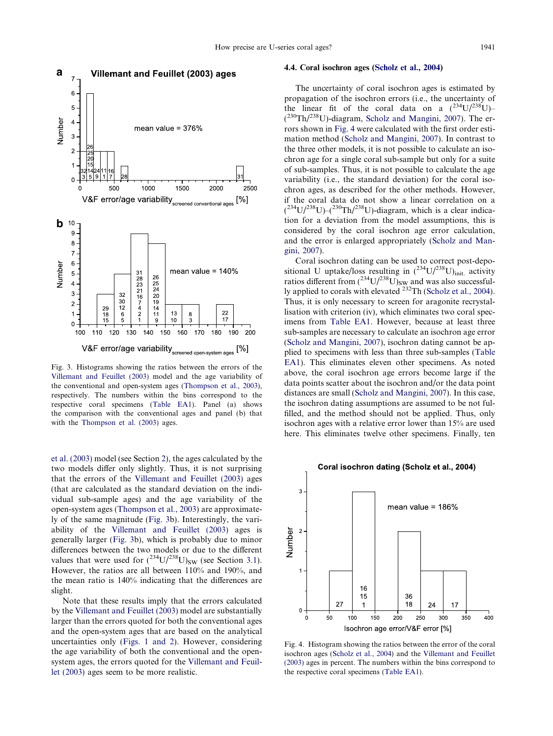<span id="page-6-0"></span>

Fig. 3. Histograms showing the ratios between the errors of the [Villemant and Feuillet \(2003\)](#page-13-0) model and the age variability of the conventional and open-system ages [\(Thompson et al., 2003\)](#page-13-0), respectively. The numbers within the bins correspond to the respective coral specimens (Table EA1). Panel (a) shows the comparison with the conventional ages and panel (b) that with the [Thompson et al. \(2003\)](#page-13-0) ages.

[et al. \(2003\)](#page-13-0) model (see Section [2\)](#page-1-0), the ages calculated by the two models differ only slightly. Thus, it is not surprising that the errors of the [Villemant and Feuillet \(2003\)](#page-13-0) ages (that are calculated as the standard deviation on the individual sub-sample ages) and the age variability of the open-system ages ([Thompson et al., 2003\)](#page-13-0) are approximately of the same magnitude (Fig. 3b). Interestingly, the variability of the [Villemant and Feuillet \(2003\)](#page-13-0) ages is generally larger (Fig. 3b), which is probably due to minor differences between the two models or due to the different values that were used for  $(^{234}U/^{238}U)_{SW}$  (see Section [3.1](#page-2-0)). However, the ratios are all between 110% and 190%, and the mean ratio is 140% indicating that the differences are slight.

Note that these results imply that the errors calculated by the [Villemant and Feuillet \(2003\)](#page-13-0) model are substantially larger than the errors quoted for both the conventional ages and the open-system ages that are based on the analytical uncertainties only [\(Figs. 1 and 2\)](#page-4-0). However, considering the age variability of both the conventional and the opensystem ages, the errors quoted for the [Villemant and Feuil](#page-13-0)[let \(2003\)](#page-13-0) ages seem to be more realistic.

## 4.4. Coral isochron ages ([Scholz et al., 2004](#page-13-0))

The uncertainty of coral isochron ages is estimated by propagation of the isochron errors (i.e., the uncertainty of the linear fit of the coral data on a  $(^{234}U/^{238}U)$ - $(^{230}Th/^{238}U)$ -diagram, [Scholz and Mangini, 2007](#page-13-0)). The errors shown in Fig. 4 were calculated with the first order estimation method [\(Scholz and Mangini, 2007](#page-13-0)). In contrast to the three other models, it is not possible to calculate an isochron age for a single coral sub-sample but only for a suite of sub-samples. Thus, it is not possible to calculate the age variability (i.e., the standard deviation) for the coral isochron ages, as described for the other methods. However, if the coral data do not show a linear correlation on a  $(^{234}U/^{238}U)$ – $(^{230}Th/^{238}U)$ -diagram, which is a clear indication for a deviation from the model assumptions, this is considered by the coral isochron age error calculation, and the error is enlarged appropriately ([Scholz and Man](#page-13-0)[gini, 2007\)](#page-13-0).

Coral isochron dating can be used to correct post-depositional U uptake/loss resulting in  $(^{234}U/^{238}U)_{init.}$  activity ratios different from  $(^{234}U/^{238}U)_{SW}$  and was also successful-ly applied to corals with elevated <sup>232</sup>Th ([Scholz et al., 2004](#page-13-0)). Thus, it is only necessary to screen for aragonite recrystallisation with criterion (iv), which eliminates two coral specimens from Table EA1. However, because at least three sub-samples are necessary to calculate an isochron age error [\(Scholz and Mangini, 2007\)](#page-13-0), isochron dating cannot be applied to specimens with less than three sub-samples (Table EA1). This eliminates eleven other specimens. As noted above, the coral isochron age errors become large if the data points scatter about the isochron and/or the data point distances are small [\(Scholz and Mangini, 2007](#page-13-0)). In this case, the isochron dating assumptions are assumed to be not fulfilled, and the method should not be applied. Thus, only isochron ages with a relative error lower than 15% are used here. This eliminates twelve other specimens. Finally, ten

Coral isochron dating (Scholz et al., 2004)



Fig. 4. Histogram showing the ratios between the error of the coral isochron ages [\(Scholz et al., 2004\)](#page-13-0) and the [Villemant and Feuillet](#page-13-0) [\(2003\)](#page-13-0) ages in percent. The numbers within the bins correspond to the respective coral specimens (Table EA1).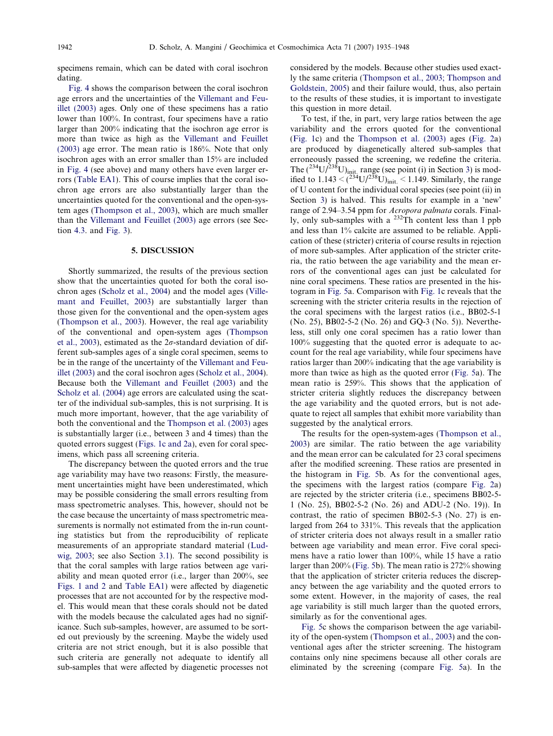specimens remain, which can be dated with coral isochron dating.

[Fig. 4](#page-6-0) shows the comparison between the coral isochron age errors and the uncertainties of the [Villemant and Feu](#page-13-0)[illet \(2003\)](#page-13-0) ages. Only one of these specimens has a ratio lower than 100%. In contrast, four specimens have a ratio larger than 200% indicating that the isochron age error is more than twice as high as the [Villemant and Feuillet](#page-13-0) [\(2003\)](#page-13-0) age error. The mean ratio is 186%. Note that only isochron ages with an error smaller than 15% are included in [Fig. 4](#page-6-0) (see above) and many others have even larger errors (Table EA1). This of course implies that the coral isochron age errors are also substantially larger than the uncertainties quoted for the conventional and the open-system ages [\(Thompson et al., 2003](#page-13-0)), which are much smaller than the [Villemant and Feuillet \(2003\)](#page-13-0) age errors (see Section [4.3.](#page-5-0) and [Fig. 3](#page-6-0)).

## 5. DISCUSSION

Shortly summarized, the results of the previous section show that the uncertainties quoted for both the coral isochron ages ([Scholz et al., 2004\)](#page-13-0) and the model ages [\(Ville](#page-13-0)[mant and Feuillet, 2003\)](#page-13-0) are substantially larger than those given for the conventional and the open-system ages ([Thompson et al., 2003\)](#page-13-0). However, the real age variability of the conventional and open-system ages [\(Thompson](#page-13-0) [et al., 2003](#page-13-0)), estimated as the  $2\sigma$ -standard deviation of different sub-samples ages of a single coral specimen, seems to be in the range of the uncertainty of the [Villemant and Feu](#page-13-0)[illet \(2003\)](#page-13-0) and the coral isochron ages ([Scholz et al., 2004\)](#page-13-0). Because both the [Villemant and Feuillet \(2003\)](#page-13-0) and the [Scholz et al. \(2004\)](#page-13-0) age errors are calculated using the scatter of the individual sub-samples, this is not surprising. It is much more important, however, that the age variability of both the conventional and the [Thompson et al. \(2003\)](#page-13-0) ages is substantially larger (i.e., between 3 and 4 times) than the quoted errors suggest [\(Figs. 1c and 2a\)](#page-4-0), even for coral specimens, which pass all screening criteria.

The discrepancy between the quoted errors and the true age variability may have two reasons: Firstly, the measurement uncertainties might have been underestimated, which may be possible considering the small errors resulting from mass spectrometric analyses. This, however, should not be the case because the uncertainty of mass spectrometric measurements is normally not estimated from the in-run counting statistics but from the reproducibility of replicate measurements of an appropriate standard material [\(Lud](#page-12-0)[wig, 2003](#page-12-0); see also Section [3.1\)](#page-2-0). The second possibility is that the coral samples with large ratios between age variability and mean quoted error (i.e., larger than 200%, see [Figs. 1 and 2](#page-4-0) and Table EA1) were affected by diagenetic processes that are not accounted for by the respective model. This would mean that these corals should not be dated with the models because the calculated ages had no significance. Such sub-samples, however, are assumed to be sorted out previously by the screening. Maybe the widely used criteria are not strict enough, but it is also possible that such criteria are generally not adequate to identify all sub-samples that were affected by diagenetic processes not considered by the models. Because other studies used exactly the same criteria ([Thompson et al., 2003; Thompson and](#page-13-0) [Goldstein, 2005](#page-13-0)) and their failure would, thus, also pertain to the results of these studies, it is important to investigate this question in more detail.

To test, if the, in part, very large ratios between the age variability and the errors quoted for the conventional ([Fig. 1c](#page-4-0)) and the [Thompson et al. \(2003\)](#page-13-0) ages [\(Fig. 2a](#page-5-0)) are produced by diagenetically altered sub-samples that erroneously passed the screening, we redefine the criteria. The  $(^{234}U/^{238}U)_{init.}$  $(^{234}U/^{238}U)_{init.}$  $(^{234}U/^{238}U)_{init.}$  range (see point (i) in Section 3) is modified to  $1.143 < (234 \text{U}/238 \text{U})_{\text{init}} < 1.149$ . Similarly, the range of U content for the individual coral species (see point (ii) in Section [3\)](#page-2-0) is halved. This results for example in a 'new' range of 2.94–3.54 ppm for Acropora palmata corals. Finally, only sub-samples with a  $^{232}$ Th content less than 1 ppb and less than 1% calcite are assumed to be reliable. Application of these (stricter) criteria of course results in rejection of more sub-samples. After application of the stricter criteria, the ratio between the age variability and the mean errors of the conventional ages can just be calculated for nine coral specimens. These ratios are presented in the histogram in [Fig. 5a](#page-8-0). Comparison with [Fig. 1](#page-4-0)c reveals that the screening with the stricter criteria results in the rejection of the coral specimens with the largest ratios (i.e., BB02-5-1 (No. 25), BB02-5-2 (No. 26) and GQ-3 (No. 5)). Nevertheless, still only one coral specimen has a ratio lower than 100% suggesting that the quoted error is adequate to account for the real age variability, while four specimens have ratios larger than 200% indicating that the age variability is more than twice as high as the quoted error ([Fig. 5](#page-8-0)a). The mean ratio is 259%. This shows that the application of stricter criteria slightly reduces the discrepancy between the age variability and the quoted errors, but is not adequate to reject all samples that exhibit more variability than suggested by the analytical errors.

The results for the open-system-ages [\(Thompson et al.,](#page-13-0) [2003\)](#page-13-0) are similar. The ratio between the age variability and the mean error can be calculated for 23 coral specimens after the modified screening. These ratios are presented in the histogram in [Fig. 5](#page-8-0)b. As for the conventional ages, the specimens with the largest ratios (compare [Fig. 2a](#page-5-0)) are rejected by the stricter criteria (i.e., specimens BB02-5- 1 (No. 25), BB02-5-2 (No. 26) and ADU-2 (No. 19)). In contrast, the ratio of specimen BB02-5-3 (No. 27) is enlarged from 264 to 331%. This reveals that the application of stricter criteria does not always result in a smaller ratio between age variability and mean error. Five coral specimens have a ratio lower than 100%, while 15 have a ratio larger than 200% ([Fig. 5b](#page-8-0)). The mean ratio is 272% showing that the application of stricter criteria reduces the discrepancy between the age variability and the quoted errors to some extent. However, in the majority of cases, the real age variability is still much larger than the quoted errors, similarly as for the conventional ages.

[Fig. 5c](#page-8-0) shows the comparison between the age variability of the open-system [\(Thompson et al., 2003](#page-13-0)) and the conventional ages after the stricter screening. The histogram contains only nine specimens because all other corals are eliminated by the screening (compare [Fig. 5a](#page-8-0)). In the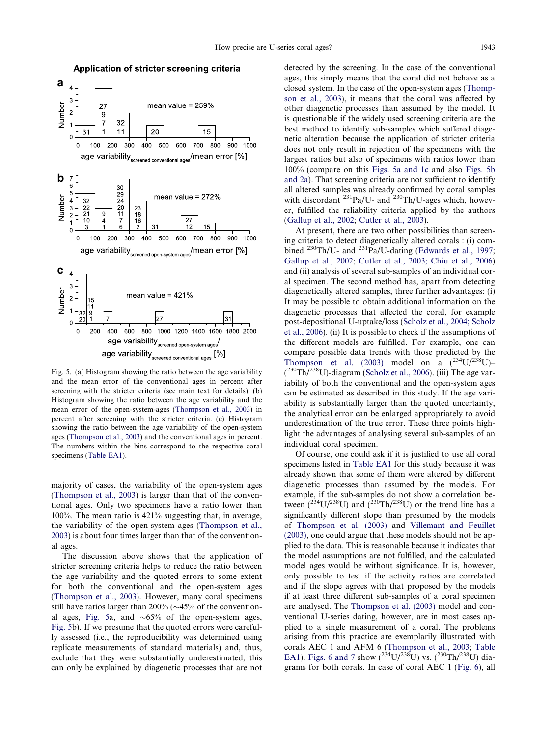<span id="page-8-0"></span>

Application of stricter screening criteria

Fig. 5. (a) Histogram showing the ratio between the age variability and the mean error of the conventional ages in percent after screening with the stricter criteria (see main text for details). (b) Histogram showing the ratio between the age variability and the mean error of the open-system-ages ([Thompson et al., 2003](#page-13-0)) in percent after screening with the stricter criteria. (c) Histogram showing the ratio between the age variability of the open-system ages ([Thompson et al., 2003\)](#page-13-0) and the conventional ages in percent. The numbers within the bins correspond to the respective coral specimens (Table EA1).

majority of cases, the variability of the open-system ages [\(Thompson et al., 2003](#page-13-0)) is larger than that of the conventional ages. Only two specimens have a ratio lower than 100%. The mean ratio is 421% suggesting that, in average, the variability of the open-system ages ([Thompson et al.,](#page-13-0) [2003](#page-13-0)) is about four times larger than that of the conventional ages.

The discussion above shows that the application of stricter screening criteria helps to reduce the ratio between the age variability and the quoted errors to some extent for both the conventional and the open-system ages [\(Thompson et al., 2003](#page-13-0)). However, many coral specimens still have ratios larger than  $200\%$  ( $\sim$ 45% of the conventional ages, Fig. 5a, and  $\sim 65\%$  of the open-system ages, Fig. 5b). If we presume that the quoted errors were carefully assessed (i.e., the reproducibility was determined using replicate measurements of standard materials) and, thus, exclude that they were substantially underestimated, this can only be explained by diagenetic processes that are not

detected by the screening. In the case of the conventional ages, this simply means that the coral did not behave as a closed system. In the case of the open-system ages [\(Thomp](#page-13-0)[son et al., 2003\)](#page-13-0), it means that the coral was affected by other diagenetic processes than assumed by the model. It is questionable if the widely used screening criteria are the best method to identify sub-samples which suffered diagenetic alteration because the application of stricter criteria does not only result in rejection of the specimens with the largest ratios but also of specimens with ratios lower than 100% (compare on this Figs. 5a and 1c and also Figs. 5b and 2a). That screening criteria are not sufficient to identify all altered samples was already confirmed by coral samples with discordant  $^{231}Pa/U$ - and  $^{230}Th/U$ -ages which, however, fulfilled the reliability criteria applied by the authors [\(Gallup et al., 2002](#page-12-0); [Cutler et al., 2003\)](#page-12-0).

At present, there are two other possibilities than screening criteria to detect diagenetically altered corals : (i) com-bined <sup>230</sup>Th/U- and <sup>231</sup>Pa/U-dating ([Edwards et al., 1997](#page-12-0); [Gallup et al., 2002](#page-12-0); [Cutler et al., 2003; Chiu et al., 2006](#page-12-0)) and (ii) analysis of several sub-samples of an individual coral specimen. The second method has, apart from detecting diagenetically altered samples, three further advantages: (i) It may be possible to obtain additional information on the diagenetic processes that affected the coral, for example post-depositional U-uptake/loss ([Scholz et al., 2004; Scholz](#page-13-0) [et al., 2006\)](#page-13-0). (ii) It is possible to check if the assumptions of the different models are fulfilled. For example, one can compare possible data trends with those predicted by the [Thompson et al. \(2003\)](#page-13-0) model on a  $(^{234}U)^{238}U$ )–  $(^{230}Th/^{238}U)$ -diagram ([Scholz et al., 2006\)](#page-13-0). (iii) The age variability of both the conventional and the open-system ages can be estimated as described in this study. If the age variability is substantially larger than the quoted uncertainty, the analytical error can be enlarged appropriately to avoid underestimation of the true error. These three points highlight the advantages of analysing several sub-samples of an individual coral specimen.

Of course, one could ask if it is justified to use all coral specimens listed in Table EA1 for this study because it was already shown that some of them were altered by different diagenetic processes than assumed by the models. For example, if the sub-samples do not show a correlation between  $(^{234}U/^{238}U)$  and  $(^{230}Th/^{238}U)$  or the trend line has a significantly different slope than presumed by the models of [Thompson et al. \(2003\)](#page-13-0) and [Villemant and Feuillet](#page-13-0) [\(2003\)](#page-13-0), one could argue that these models should not be applied to the data. This is reasonable because it indicates that the model assumptions are not fulfilled, and the calculated model ages would be without significance. It is, however, only possible to test if the activity ratios are correlated and if the slope agrees with that proposed by the models if at least three different sub-samples of a coral specimen are analysed. The [Thompson et al. \(2003\)](#page-13-0) model and conventional U-series dating, however, are in most cases applied to a single measurement of a coral. The problems arising from this practice are exemplarily illustrated with corals AEC 1 and AFM 6 [\(Thompson et al., 2003;](#page-13-0) Table EA1). [Figs. 6 and 7](#page-9-0) show  $(^{234}U/^{238}U)$  vs.  $(^{230}Th/^{238}U)$  diagrams for both corals. In case of coral AEC 1 ([Fig. 6\)](#page-9-0), all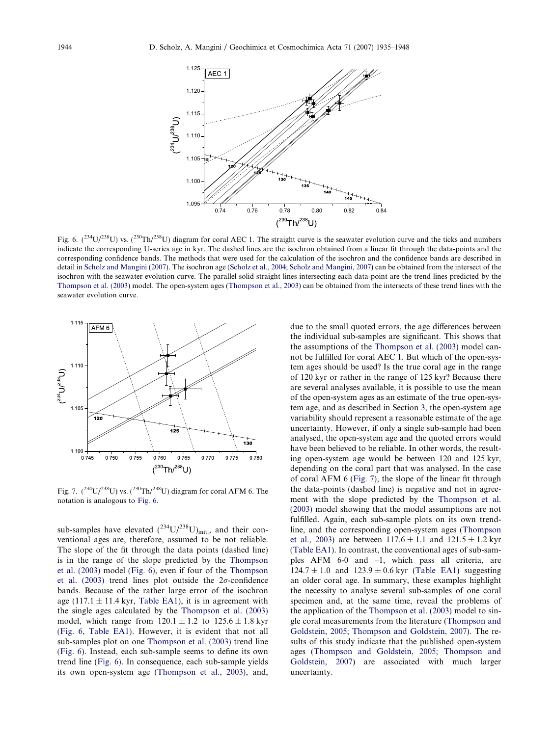<span id="page-9-0"></span>

Fig. 6.  $(^{234}U/^{238}U)$  vs.  $(^{230}Th/^{238}U)$  diagram for coral AEC 1. The straight curve is the seawater evolution curve and the ticks and numbers indicate the corresponding U-series age in kyr. The dashed lines are the isochron obtained from a linear fit through the data-points and the corresponding confidence bands. The methods that were used for the calculation of the isochron and the confidence bands are described in detail in [Scholz and Mangini \(2007\).](#page-13-0) The isochron age ([Scholz et al., 2004; Scholz and Mangini, 2007\)](#page-13-0) can be obtained from the intersect of the isochron with the seawater evolution curve. The parallel solid straight lines intersecting each data-point are the trend lines predicted by the [Thompson et al. \(2003\)](#page-13-0) model. The open-system ages [\(Thompson et al., 2003\)](#page-13-0) can be obtained from the intersects of these trend lines with the seawater evolution curve.



Fig. 7.  $(^{234}U/^{238}U)$  vs.  $(^{230}Th/^{238}U)$  diagram for coral AFM 6. The notation is analogous to Fig. 6.

sub-samples have elevated  $(^{234}U/^{238}U)_{init.}$ , and their conventional ages are, therefore, assumed to be not reliable. The slope of the fit through the data points (dashed line) is in the range of the slope predicted by the [Thompson](#page-13-0) [et al. \(2003\)](#page-13-0) model (Fig. 6), even if four of the [Thompson](#page-13-0) et al.  $(2003)$  trend lines plot outside the  $2\sigma$ -confidence bands. Because of the rather large error of the isochron age (117.1  $\pm$  11.4 kyr, Table EA1), it is in agreement with the single ages calculated by the [Thompson et al. \(2003\)](#page-13-0) model, which range from  $120.1 \pm 1.2$  to  $125.6 \pm 1.8$  kyr (Fig. 6, Table EA1). However, it is evident that not all sub-samples plot on one [Thompson et al. \(2003\)](#page-13-0) trend line (Fig. 6). Instead, each sub-sample seems to define its own trend line (Fig. 6). In consequence, each sub-sample yields its own open-system age [\(Thompson et al., 2003\)](#page-13-0), and,

due to the small quoted errors, the age differences between the individual sub-samples are significant. This shows that the assumptions of the [Thompson et al. \(2003\)](#page-13-0) model cannot be fulfilled for coral AEC 1. But which of the open-system ages should be used? Is the true coral age in the range of 120 kyr or rather in the range of 125 kyr? Because there are several analyses available, it is possible to use the mean of the open-system ages as an estimate of the true open-system age, and as described in Section [3,](#page-2-0) the open-system age variability should represent a reasonable estimate of the age uncertainty. However, if only a single sub-sample had been analysed, the open-system age and the quoted errors would have been believed to be reliable. In other words, the resulting open-system age would be between 120 and 125 kyr, depending on the coral part that was analysed. In the case of coral AFM 6 (Fig. 7), the slope of the linear fit through the data-points (dashed line) is negative and not in agreement with the slope predicted by the [Thompson et al.](#page-13-0) [\(2003\)](#page-13-0) model showing that the model assumptions are not fulfilled. Again, each sub-sample plots on its own trendline, and the corresponding open-system ages [\(Thompson](#page-13-0) [et al., 2003\)](#page-13-0) are between  $117.6 \pm 1.1$  and  $121.5 \pm 1.2$  kyr (Table EA1). In contrast, the conventional ages of sub-samples AFM 6-0 and –1, which pass all criteria, are  $124.7 \pm 1.0$  and  $123.9 \pm 0.6$  kyr (Table EA1) suggesting an older coral age. In summary, these examples highlight the necessity to analyse several sub-samples of one coral specimen and, at the same time, reveal the problems of the application of the [Thompson et al. \(2003\)](#page-13-0) model to single coral measurements from the literature [\(Thompson and](#page-13-0) [Goldstein, 2005; Thompson and Goldstein, 2007\)](#page-13-0). The results of this study indicate that the published open-system ages [\(Thompson and Goldstein, 2005; Thompson and](#page-13-0) [Goldstein, 2007\)](#page-13-0) are associated with much larger uncertainty.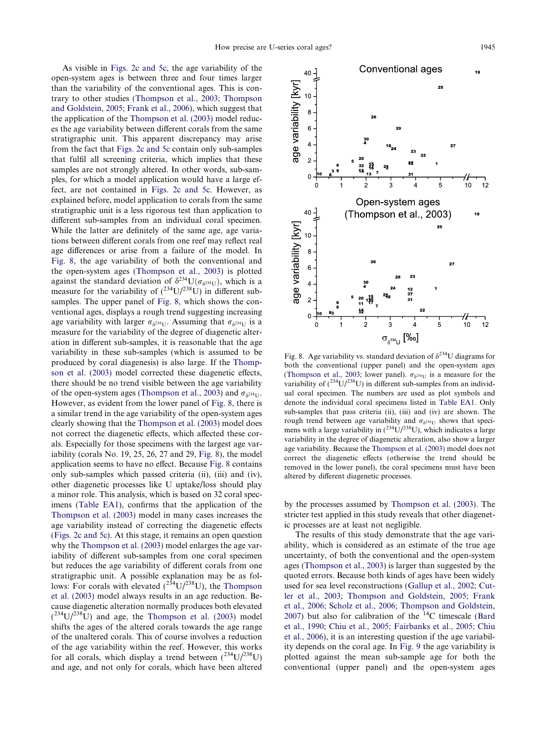As visible in [Figs. 2c and 5c](#page-5-0), the age variability of the open-system ages is between three and four times larger than the variability of the conventional ages. This is contrary to other studies ([Thompson et al., 2003; Thompson](#page-13-0) [and Goldstein, 2005; Frank et al., 2006](#page-13-0)), which suggest that the application of the [Thompson et al. \(2003\)](#page-13-0) model reduces the age variability between different corals from the same stratigraphic unit. This apparent discrepancy may arise from the fact that [Figs. 2c and 5c](#page-5-0) contain only sub-samples that fulfil all screening criteria, which implies that these samples are not strongly altered. In other words, sub-samples, for which a model application would have a large effect, are not contained in [Figs. 2c and 5c](#page-5-0). However, as explained before, model application to corals from the same stratigraphic unit is a less rigorous test than application to different sub-samples from an individual coral specimen. While the latter are definitely of the same age, age variations between different corals from one reef may reflect real age differences or arise from a failure of the model. In Fig. 8, the age variability of both the conventional and the open-system ages ([Thompson et al., 2003\)](#page-13-0) is plotted against the standard deviation of  $\delta^{234}U(\sigma_{\delta^{234}U})$ , which is a measure for the variability of  $({}^{234}U/{}^{238}U)$  in different subsamples. The upper panel of Fig. 8, which shows the conventional ages, displays a rough trend suggesting increasing age variability with larger  $\sigma_{\delta^{234}U}$ . Assuming that  $\sigma_{\delta^{234}U}$  is a measure for the variability of the degree of diagenetic alteration in different sub-samples, it is reasonable that the age variability in these sub-samples (which is assumed to be produced by coral diagenesis) is also large. If the [Thomp](#page-13-0)[son et al. \(2003\)](#page-13-0) model corrected these diagenetic effects, there should be no trend visible between the age variability of the open-system ages ([Thompson et al., 2003](#page-13-0)) and  $\sigma_{\delta^{234}U}$ . However, as evident from the lower panel of Fig. 8, there is a similar trend in the age variability of the open-system ages clearly showing that the [Thompson et al. \(2003\)](#page-13-0) model does not correct the diagenetic effects, which affected these corals. Especially for those specimens with the largest age variability (corals No. 19, 25, 26, 27 and 29, Fig. 8), the model application seems to have no effect. Because Fig. 8 contains only sub-samples which passed criteria (ii), (iii) and (iv), other diagenetic processes like U uptake/loss should play a minor role. This analysis, which is based on 32 coral specimens (Table EA1), confirms that the application of the [Thompson et al. \(2003\)](#page-13-0) model in many cases increases the age variability instead of correcting the diagenetic effects [\(Figs. 2c and 5c\)](#page-5-0). At this stage, it remains an open question why the [Thompson et al. \(2003\)](#page-13-0) model enlarges the age variability of different sub-samples from one coral specimen but reduces the age variability of different corals from one stratigraphic unit. A possible explanation may be as follows: For corals with elevated  $(^{234}U/^{238}U)$ , the [Thompson](#page-13-0) [et al. \(2003\)](#page-13-0) model always results in an age reduction. Because diagenetic alteration normally produces both elevated  $(^{234}U/^{238}U)$  and age, the [Thompson et al. \(2003\)](#page-13-0) model shifts the ages of the altered corals towards the age range of the unaltered corals. This of course involves a reduction of the age variability within the reef. However, this works for all corals, which display a trend between  $(^{234}U/^{238}U)$ and age, and not only for corals, which have been altered



Fig. 8. Age variability vs. standard deviation of  $\delta^{234}U$  diagrams for both the conventional (upper panel) and the open-system ages ([Thompson et al., 2003;](#page-13-0) lower panel).  $\sigma_{\delta^{234}U}$  is a measure for the variability of  $(^{234}U/^{238}U)$  in different sub-samples from an individual coral specimen. The numbers are used as plot symbols and denote the individual coral specimens listed in Table EA1. Only sub-samples that pass criteria (ii), (iii) and (iv) are shown. The rough trend between age variability and  $\sigma_{\delta^{234}U}$  shows that specimens with a large variability in  $(^{234}U/^{238}U)$ , which indicates a large variability in the degree of diagenetic alteration, also show a larger age variability. Because the [Thompson et al. \(2003\)](#page-13-0) model does not correct the diagenetic effects (otherwise the trend should be removed in the lower panel), the coral specimens must have been altered by different diagenetic processes.

by the processes assumed by [Thompson et al. \(2003\).](#page-13-0) The stricter test applied in this study reveals that other diagenetic processes are at least not negligible.

The results of this study demonstrate that the age variability, which is considered as an estimate of the true age uncertainty, of both the conventional and the open-system ages [\(Thompson et al., 2003](#page-13-0)) is larger than suggested by the quoted errors. Because both kinds of ages have been widely used for sea level reconstructions [\(Gallup et al., 2002;](#page-12-0) [Cut](#page-12-0)[ler et al., 2003; Thompson and Goldstein, 2005; Frank](#page-12-0) [et al., 2006; Scholz et al., 2006; Thompson and Goldstein,](#page-12-0) [2007](#page-12-0)) but also for calibration of the  $^{14}$ C timescale ([Bard](#page-12-0) [et al., 1990; Chiu et al., 2005; Fairbanks et al., 2005; Chiu](#page-12-0) [et al., 2006](#page-12-0)), it is an interesting question if the age variability depends on the coral age. In [Fig. 9](#page-11-0) the age variability is plotted against the mean sub-sample age for both the conventional (upper panel) and the open-system ages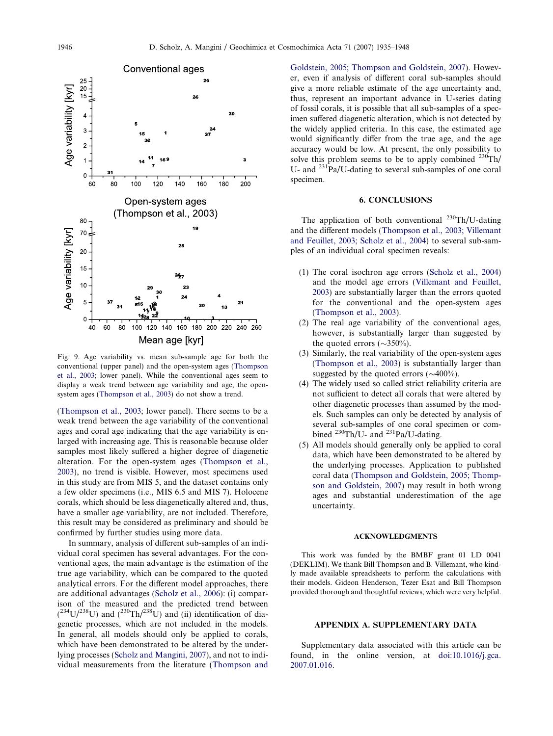<span id="page-11-0"></span>

Fig. 9. Age variability vs. mean sub-sample age for both the conventional (upper panel) and the open-system ages [\(Thompson](#page-13-0) [et al., 2003;](#page-13-0) lower panel). While the conventional ages seem to display a weak trend between age variability and age, the opensystem ages [\(Thompson et al., 2003](#page-13-0)) do not show a trend.

([Thompson et al., 2003](#page-13-0); lower panel). There seems to be a weak trend between the age variability of the conventional ages and coral age indicating that the age variability is enlarged with increasing age. This is reasonable because older samples most likely suffered a higher degree of diagenetic alteration. For the open-system ages ([Thompson et al.,](#page-13-0) [2003\)](#page-13-0), no trend is visible. However, most specimens used in this study are from MIS 5, and the dataset contains only a few older specimens (i.e., MIS 6.5 and MIS 7). Holocene corals, which should be less diagenetically altered and, thus, have a smaller age variability, are not included. Therefore, this result may be considered as preliminary and should be confirmed by further studies using more data.

In summary, analysis of different sub-samples of an individual coral specimen has several advantages. For the conventional ages, the main advantage is the estimation of the true age variability, which can be compared to the quoted analytical errors. For the different model approaches, there are additional advantages ([Scholz et al., 2006](#page-13-0)): (i) comparison of the measured and the predicted trend between  $(^{234}U/^{238}U)$  and  $(^{230}Th/^{238}U)$  and (ii) identification of diagenetic processes, which are not included in the models. In general, all models should only be applied to corals, which have been demonstrated to be altered by the underlying processes [\(Scholz and Mangini, 2007](#page-13-0)), and not to individual measurements from the literature ([Thompson and](#page-13-0)

[Goldstein, 2005; Thompson and Goldstein, 2007\)](#page-13-0). However, even if analysis of different coral sub-samples should give a more reliable estimate of the age uncertainty and, thus, represent an important advance in U-series dating of fossil corals, it is possible that all sub-samples of a specimen suffered diagenetic alteration, which is not detected by the widely applied criteria. In this case, the estimated age would significantly differ from the true age, and the age accuracy would be low. At present, the only possibility to solve this problem seems to be to apply combined  $^{230}Th/$ U- and 231Pa/U-dating to several sub-samples of one coral specimen.

## 6. CONCLUSIONS

The application of both conventional <sup>230</sup>Th/U-dating and the different models [\(Thompson et al., 2003; Villemant](#page-13-0) [and Feuillet, 2003; Scholz et al., 2004](#page-13-0)) to several sub-samples of an individual coral specimen reveals:

- (1) The coral isochron age errors ([Scholz et al., 2004\)](#page-13-0) and the model age errors ([Villemant and Feuillet,](#page-13-0) [2003\)](#page-13-0) are substantially larger than the errors quoted for the conventional and the open-system ages ([Thompson et al., 2003\)](#page-13-0).
- (2) The real age variability of the conventional ages, however, is substantially larger than suggested by the quoted errors  $(\sim 350\%)$ .
- (3) Similarly, the real variability of the open-system ages ([Thompson et al., 2003\)](#page-13-0) is substantially larger than suggested by the quoted errors  $(\sim 400\%)$ .
- (4) The widely used so called strict reliability criteria are not sufficient to detect all corals that were altered by other diagenetic processes than assumed by the models. Such samples can only be detected by analysis of several sub-samples of one coral specimen or combined  $^{230}$ Th/U- and  $^{231}$ Pa/U-dating.
- (5) All models should generally only be applied to coral data, which have been demonstrated to be altered by the underlying processes. Application to published coral data [\(Thompson and Goldstein, 2005; Thomp](#page-13-0)[son and Goldstein, 2007\)](#page-13-0) may result in both wrong ages and substantial underestimation of the age uncertainty.

### ACKNOWLEDGMENTS

This work was funded by the BMBF grant 01 LD 0041 (DEKLIM). We thank Bill Thompson and B. Villemant, who kindly made available spreadsheets to perform the calculations with their models. Gideon Henderson, Tezer Esat and Bill Thompson provided thorough and thoughtful reviews, which were very helpful.

## APPENDIX A. SUPPLEMENTARY DATA

Supplementary data associated with this article can be found, in the online version, at [doi:10.1016/j.gca.](http://dx.doi.org/10.1016/j.gca.2007.01.016) [2007.01.016](http://dx.doi.org/10.1016/j.gca.2007.01.016).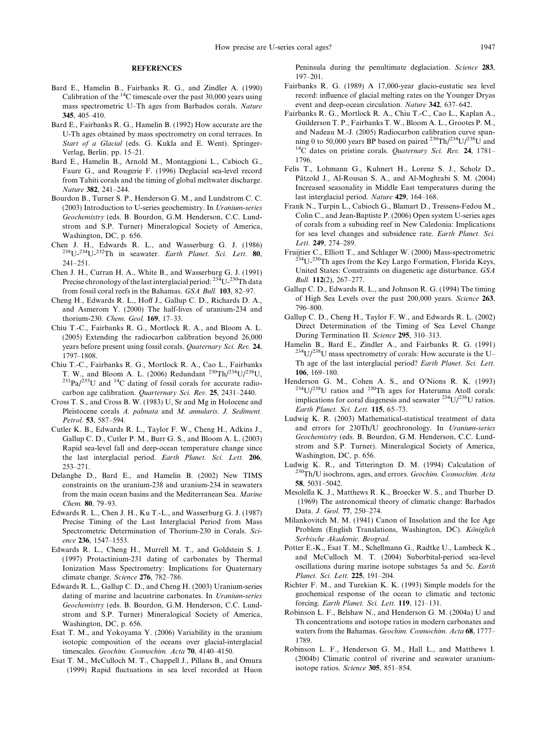## **REFERENCES**

- <span id="page-12-0"></span>Bard E., Hamelin B., Fairbanks R. G., and Zindler A. (1990) Calibration of the  $^{14}$ C timescale over the past 30,000 years using mass spectrometric U–Th ages from Barbados corals. Nature 345, 405–410.
- Bard E., Fairbanks R. G., Hamelin B. (1992) How accurate are the U-Th ages obtained by mass spectrometry on coral terraces. In Start of a Glacial (eds. G. Kukla and E. Went). Springer-Verlag, Berlin. pp. 15–21.
- Bard E., Hamelin B., Arnold M., Montaggioni L., Cabioch G., Faure G., and Rougerie F. (1996) Deglacial sea-level record from Tahiti corals and the timing of global meltwater discharge. Nature 382, 241–244.
- Bourdon B., Turner S. P., Henderson G. M., and Lundstrom C. C. (2003) Introduction to U-series geochemistry. In Uranium-series Geochemistry (eds. B. Bourdon, G.M. Henderson, C.C. Lundstrom and S.P. Turner) Mineralogical Society of America, Washington, DC, p. 656.
- Chen J. H., Edwards R. L., and Wasserburg G. J. (1986) <sup>238</sup>U-<sup>234</sup>U-<sup>232</sup>Th in seawater. *Earth Planet. Sci. Lett.* **80**, 241–251.
- Chen J. H., Curran H. A., White B., and Wasserburg G. J. (1991) Precise chronology of the last interglacial period: <sup>234</sup>U-<sup>230</sup>Th data from fossil coral reefs in the Bahamas. GSA Bull. 103, 82–97.
- Cheng H., Edwards R. L., Hoff J., Gallup C. D., Richards D. A., and Asmerom Y. (2000) The half-lives of uranium-234 and thorium-230. Chem. Geol. 169, 17–33.
- Chiu T.-C., Fairbanks R. G., Mortlock R. A., and Bloom A. L. (2005) Extending the radiocarbon calibration beyond 26,000 years before present using fossil corals. Quaternary Sci. Rev. 24, 1797–1808.
- Chiu T.-C., Fairbanks R. G., Mortlock R. A., Cao L., Fairbanks T. W., and Bloom A. L. (2006) Redundant  $^{230}Th/^{234}U/^{238}U$ ,  $^{231}Pa/^{235}U$  and  $^{14}C$  dating of fossil corals for accurate radiocarbon age calibration. Quarternary Sci. Rev. 25, 2431–2440.
- Cross T. S., and Cross B. W. (1983) U, Sr and Mg in Holocene and Pleistocene corals A. palmata and M. annularis. J. Sediment. Petrol. 53, 587–594.
- Cutler K. B., Edwards R. L., Taylor F. W., Cheng H., Adkins J., Gallup C. D., Cutler P. M., Burr G. S., and Bloom A. L. (2003) Rapid sea-level fall and deep-ocean temperature change since the last interglacial period. Earth Planet. Sci. Lett. 206, 253–271.
- Delanghe D., Bard E., and Hamelin B. (2002) New TIMS constraints on the uranium-238 and uranium-234 in seawaters from the main ocean basins and the Mediterranean Sea. Marine Chem. 80, 79–93.
- Edwards R. L., Chen J. H., Ku T.-L., and Wasserburg G. J. (1987) Precise Timing of the Last Interglacial Period from Mass Spectrometric Determination of Thorium-230 in Corals. Science 236, 1547–1553.
- Edwards R. L., Cheng H., Murrell M. T., and Goldstein S. J. (1997) Protactinium-231 dating of carbonates by Thermal Ionization Mass Spectrometry: Implications for Quaternary climate change. Science 276, 782–786.
- Edwards R. L., Gallup C. D., and Cheng H. (2003) Uranium-series dating of marine and lacustrine carbonates. In Uranium-series Geochemistry (eds. B. Bourdon, G.M. Henderson, C.C. Lundstrom and S.P. Turner) Mineralogical Society of America, Washington, DC, p. 656.
- Esat T. M., and Yokoyama Y. (2006) Variability in the uranium isotopic composition of the oceans over glacial-interglacial timescales. Geochim. Cosmochim. Acta 70, 4140-4150.
- Esat T. M., McCulloch M. T., Chappell J., Pillans B., and Omura (1999) Rapid fluctuations in sea level recorded at Huon

Peninsula during the penultimate deglaciation. Science 283, 197–201.

- Fairbanks R. G. (1989) A 17,000-year glacio-eustatic sea level record: influence of glacial melting rates on the Younger Dryas event and deep-ocean circulation. Nature 342, 637–642.
- Fairbanks R. G., Mortlock R. A., Chiu T.-C., Cao L., Kaplan A., Guilderson T. P., Fairbanks T. W., Bloom A. L., Grootes P. M., and Nadeau M.-J. (2005) Radiocarbon calibration curve span-<br>ning 0 to 50,000 years BP based on paired  $^{230}Th/^{234}U/^{238}U$  and  $14C$  dates on pristine corals. Quaternary Sci. Rev. 24, 1781– 1796.
- Felis T., Lohmann G., Kuhnert H., Lorenz S. J., Scholz D., Pätzold J., Al-Rousan S. A., and Al-Moghrabi S. M. (2004) Increased seasonality in Middle East temperatures during the last interglacial period. Nature 429, 164–168.
- Frank N., Turpin L., Cabioch G., Blamart D., Tressens-Fedou M., Colin C., and Jean-Baptiste P. (2006) Open system U-series ages of corals from a subsiding reef in New Caledonia: Implications for sea level changes and subsidence rate. Earth Planet. Sci. Lett. 249, 274–289.
- Fruijtier C., Elliott T., and Schlager W. (2000) Mass-spectrometric 234U-230Th ages from the Key Largo Formation, Florida Keys, United States: Constraints on diagenetic age disturbance. GSA Bull. 112(2), 267–277.
- Gallup C. D., Edwards R. L., and Johnson R. G. (1994) The timing of High Sea Levels over the past 200,000 years. Science 263, 796–800.
- Gallup C. D., Cheng H., Taylor F. W., and Edwards R. L. (2002) Direct Determination of the Timing of Sea Level Change During Termination II. Science 295, 310–313.
- Hamelin B., Bard E., Zindler A., and Fairbanks R. G. (1991)  $234$ U/ $238$ U mass spectrometry of corals: How accurate is the U– Th age of the last interglacial period? Earth Planet. Sci. Lett. 106, 169–180.
- Henderson G. M., Cohen A. S., and O'Nions R. K. (1993) <sup>234</sup>U/<sup>238</sup>U ratios and <sup>230</sup>Th ages for Hateruma Atoll corals: implications for coral diagenesis and seawater  $^{234}U/^{238}U$  ratios. Earth Planet. Sci. Lett. 115, 65–73.
- Ludwig K. R. (2003) Mathematical-statistical treatment of data and errors for 230Th/U geochronology. In Uranium-series Geochemistry (eds. B. Bourdon, G.M. Henderson, C.C. Lundstrom and S.P. Turner). Mineralogical Society of America, Washington, DC, p. 656.
- Ludwig K. R., and Titterington D. M. (1994) Calculation of <sup>230</sup>Th/U isochrons, ages, and errors. *Geochim. Cosmochim. Acta* 58, 5031–5042.
- Mesolella K. J., Matthews R. K., Broecker W. S., and Thurber D. (1969) The astronomical theory of climatic change: Barbados Data. J. Geol. 77, 250–274.
- Milankovitch M. M. (1941) Canon of Insolation and the Ice Age Problem (English Translations, Washington, DC). Königlich Serbische Akademie, Beograd.
- Potter E.-K., Esat T. M., Schellmann G., Radtke U., Lambeck K., and McCulloch M. T. (2004) Suborbital-period sea-level oscillations during marine isotope substages 5a and 5c. Earth Planet. Sci. Lett. 225, 191–204.
- Richter F. M., and Turekian K. K. (1993) Simple models for the geochemical response of the ocean to climatic and tectonic forcing. Earth Planet. Sci. Lett. 119, 121–131.
- Robinson L. F., Belshaw N., and Henderson G. M. (2004a) U and Th concentrations and isotope ratios in modern carbonates and waters from the Bahamas. Geochim. Cosmochim. Acta 68, 1777– 1789.
- Robinson L. F., Henderson G. M., Hall L., and Matthews I. (2004b) Climatic control of riverine and seawater uraniumisotope ratios. Science 305, 851–854.